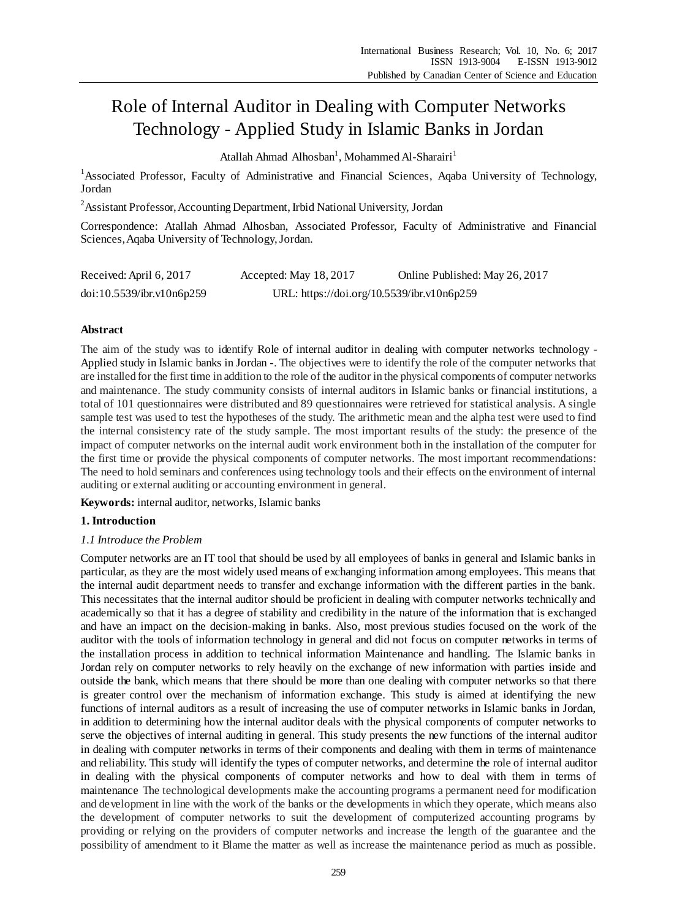# Role of Internal Auditor in Dealing with Computer Networks Technology - Applied Study in Islamic Banks in Jordan

Atallah Ahmad Alhosban<sup>1</sup>, Mohammed Al-Sharairi<sup>1</sup>

<sup>1</sup> Associated Professor, Faculty of Administrative and Financial Sciences, Aqaba University of Technology, Jordan

<sup>2</sup> Assistant Professor, Accounting Department, Irbid National University, Jordan

Correspondence: Atallah Ahmad Alhosban, Associated Professor, Faculty of Administrative and Financial Sciences, Aqaba University of Technology,Jordan.

| Received: April 6, 2017   | Accepted: May 18, 2017                     | Online Published: May 26, 2017 |
|---------------------------|--------------------------------------------|--------------------------------|
| doi:10.5539/ibr.v10n6p259 | URL: https://doi.org/10.5539/ibr.v10n6p259 |                                |

# **Abstract**

The aim of the study was to identify Role of internal auditor in dealing with computer networks technology - Applied study in Islamic banks in Jordan -. The objectives were to identify the role of the computer networks that are installed for the first time in addition to the role of the auditor in the physical components of computer networks and maintenance. The study community consists of internal auditors in Islamic banks or financial institutions, a total of 101 questionnaires were distributed and 89 questionnaires were retrieved for statistical analysis. A single sample test was used to test the hypotheses of the study. The arithmetic mean and the alpha test were used to find the internal consistency rate of the study sample. The most important results of the study: the presence of the impact of computer networks on the internal audit work environment both in the installation of the computer for the first time or provide the physical components of computer networks. The most important recommendations: The need to hold seminars and conferences using technology tools and their effects on the environment of internal auditing or external auditing or accounting environment in general.

**Keywords:** internal auditor, networks, Islamic banks

# **1. Introduction**

## *1.1 Introduce the Problem*

Computer networks are an IT tool that should be used by all employees of banks in general and Islamic banks in particular, as they are the most widely used means of exchanging information among employees. This means that the internal audit department needs to transfer and exchange information with the different parties in the bank. This necessitates that the internal auditor should be proficient in dealing with computer networks technically and academically so that it has a degree of stability and credibility in the nature of the information that is exchanged and have an impact on the decision-making in banks. Also, most previous studies focused on the work of the auditor with the tools of information technology in general and did not focus on computer networks in terms of the installation process in addition to technical information Maintenance and handling. The Islamic banks in Jordan rely on computer networks to rely heavily on the exchange of new information with parties inside and outside the bank, which means that there should be more than one dealing with computer networks so that there is greater control over the mechanism of information exchange. This study is aimed at identifying the new functions of internal auditors as a result of increasing the use of computer networks in Islamic banks in Jordan, in addition to determining how the internal auditor deals with the physical components of computer networks to serve the objectives of internal auditing in general. This study presents the new functions of the internal auditor in dealing with computer networks in terms of their components and dealing with them in terms of maintenance and reliability. This study will identify the types of computer networks, and determine the role of internal auditor in dealing with the physical components of computer networks and how to deal with them in terms of maintenance The technological developments make the accounting programs a permanent need for modification and development in line with the work of the banks or the developments in which they operate, which means also the development of computer networks to suit the development of computerized accounting programs by providing or relying on the providers of computer networks and increase the length of the guarantee and the possibility of amendment to it Blame the matter as well as increase the maintenance period as much as possible.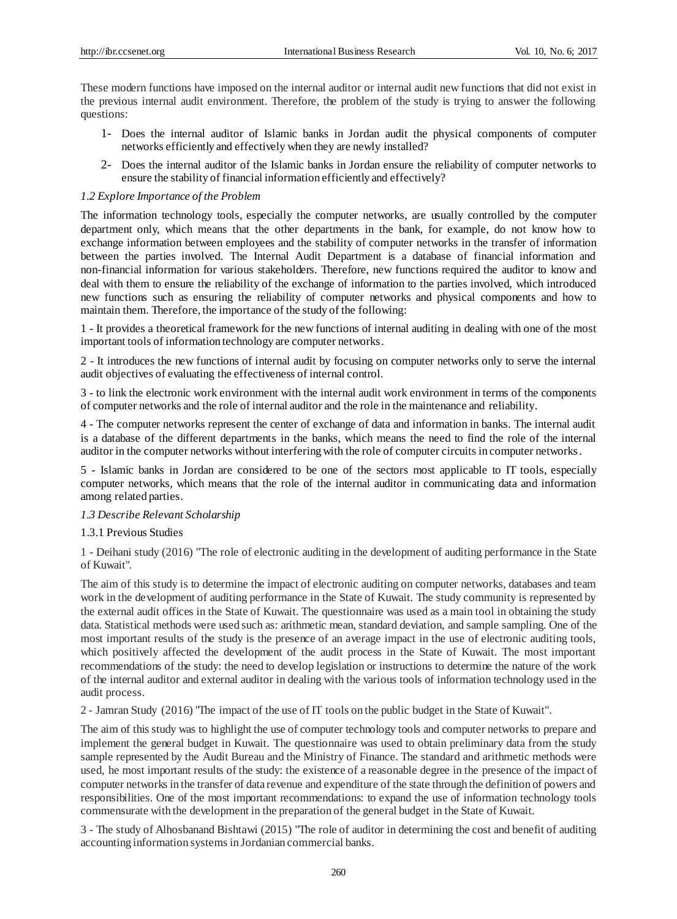These modern functions have imposed on the internal auditor or internal audit new functions that did not exist in the previous internal audit environment. Therefore, the problem of the study is trying to answer the following questions:

- 1- Does the internal auditor of Islamic banks in Jordan audit the physical components of computer networks efficiently and effectively when they are newly installed?
- 2- Does the internal auditor of the Islamic banks in Jordan ensure the reliability of computer networks to ensure the stability of financial information efficiently and effectively?

#### *1.2 Explore Importance of the Problem*

The information technology tools, especially the computer networks, are usually controlled by the computer department only, which means that the other departments in the bank, for example, do not know how to exchange information between employees and the stability of computer networks in the transfer of information between the parties involved. The Internal Audit Department is a database of financial information and non-financial information for various stakeholders. Therefore, new functions required the auditor to know and deal with them to ensure the reliability of the exchange of information to the parties involved, which introduced new functions such as ensuring the reliability of computer networks and physical components and how to maintain them. Therefore, the importance of the study of the following:

1 - It provides a theoretical framework for the new functions of internal auditing in dealing with one of the most important tools of information technology are computer networks.

2 - It introduces the new functions of internal audit by focusing on computer networks only to serve the internal audit objectives of evaluating the effectiveness of internal control.

3 - to link the electronic work environment with the internal audit work environment in terms of the components of computer networks and the role of internal auditor and the role in the maintenance and reliability.

4 - The computer networks represent the center of exchange of data and information in banks. The internal audit is a database of the different departments in the banks, which means the need to find the role of the internal auditor in the computer networks without interfering with the role of computer circuits in computer networks.

5 - Islamic banks in Jordan are considered to be one of the sectors most applicable to IT tools, especially computer networks, which means that the role of the internal auditor in communicating data and information among related parties.

## *1.3 Describe Relevant Scholarship*

#### 1.3.1 Previous Studies

1 - Deihani study (2016) "The role of electronic auditing in the development of auditing performance in the State of Kuwait".

The aim of this study is to determine the impact of electronic auditing on computer networks, databases and team work in the development of auditing performance in the State of Kuwait. The study community is represented by the external audit offices in the State of Kuwait. The questionnaire was used as a main tool in obtaining the study data. Statistical methods were used such as: arithmetic mean, standard deviation, and sample sampling. One of the most important results of the study is the presence of an average impact in the use of electronic auditing tools, which positively affected the development of the audit process in the State of Kuwait. The most important recommendations of the study: the need to develop legislation or instructions to determine the nature of the work of the internal auditor and external auditor in dealing with the various tools of information technology used in the audit process.

2 - Jamran Study (2016) "The impact of the use of IT tools on the public budget in the State of Kuwait".

The aim of this study was to highlight the use of computer technology tools and computer networks to prepare and implement the general budget in Kuwait. The questionnaire was used to obtain preliminary data from the study sample represented by the Audit Bureau and the Ministry of Finance. The standard and arithmetic methods were used, he most important results of the study: the existence of a reasonable degree in the presence of the impact of computer networks in the transfer of data revenue and expenditure of the state through the definition of powers and responsibilities. One of the most important recommendations: to expand the use of information technology tools commensurate with the development in the preparation of the general budget in the State of Kuwait.

3 - The study of Alhosbanand Bishtawi (2015) "The role of auditor in determining the cost and benefit of auditing accounting information systems in Jordanian commercial banks.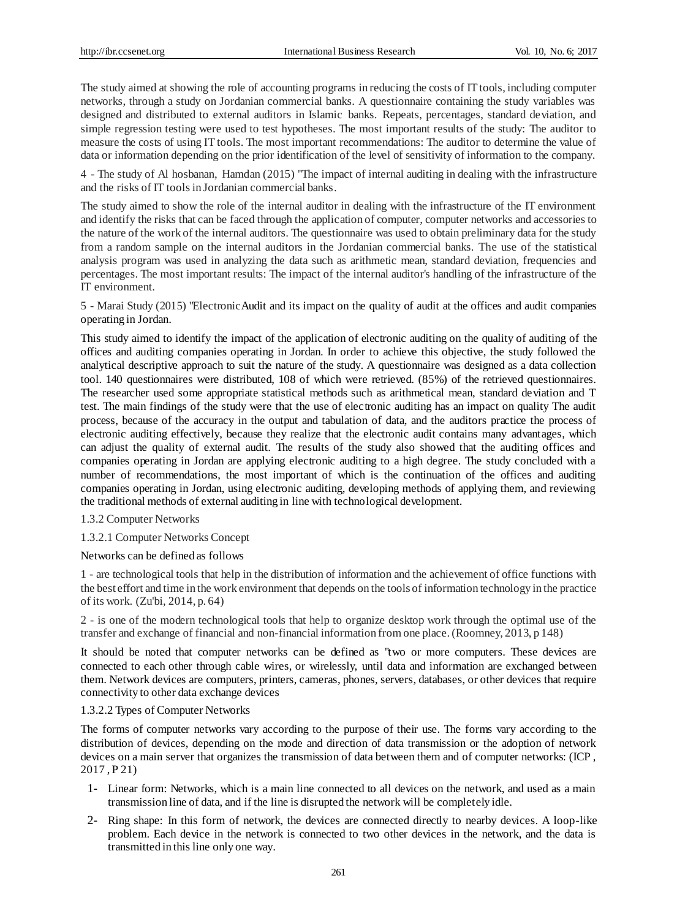The study aimed at showing the role of accounting programs in reducing the costs of IT tools, including computer networks, through a study on Jordanian commercial banks. A questionnaire containing the study variables was designed and distributed to external auditors in Islamic banks. Repeats, percentages, standard deviation, and simple regression testing were used to test hypotheses. The most important results of the study: The auditor to measure the costs of using IT tools. The most important recommendations: The auditor to determine the value of data or information depending on the prior identification of the level of sensitivity of information to the company.

4 - The study of Al hosbanan, Hamdan (2015) "The impact of internal auditing in dealing with the infrastructure and the risks of IT tools in Jordanian commercial banks.

The study aimed to show the role of the internal auditor in dealing with the infrastructure of the IT environment and identify the risks that can be faced through the application of computer, computer networks and accessories to the nature of the work of the internal auditors. The questionnaire was used to obtain preliminary data for the study from a random sample on the internal auditors in the Jordanian commercial banks. The use of the statistical analysis program was used in analyzing the data such as arithmetic mean, standard deviation, frequencies and percentages. The most important results: The impact of the internal auditor's handling of the infrastructure of the IT environment.

5 - Marai Study (2015) "ElectronicAudit and its impact on the quality of audit at the offices and audit companies operating in Jordan.

This study aimed to identify the impact of the application of electronic auditing on the quality of auditing of the offices and auditing companies operating in Jordan. In order to achieve this objective, the study followed the analytical descriptive approach to suit the nature of the study. A questionnaire was designed as a data collection tool. 140 questionnaires were distributed, 108 of which were retrieved. (85%) of the retrieved questionnaires. The researcher used some appropriate statistical methods such as arithmetical mean, standard deviation and T test. The main findings of the study were that the use of electronic auditing has an impact on quality The audit process, because of the accuracy in the output and tabulation of data, and the auditors practice the process of electronic auditing effectively, because they realize that the electronic audit contains many advantages, which can adjust the quality of external audit. The results of the study also showed that the auditing offices and companies operating in Jordan are applying electronic auditing to a high degree. The study concluded with a number of recommendations, the most important of which is the continuation of the offices and auditing companies operating in Jordan, using electronic auditing, developing methods of applying them, and reviewing the traditional methods of external auditing in line with technological development.

1.3.2 Computer Networks

# 1.3.2.1 Computer Networks Concept

Networks can be defined as follows

1 - are technological tools that help in the distribution of information and the achievement of office functions with the best effort and time in the work environment that depends on the tools of information technology in the practice of its work. (Zu'bi, 2014, p. 64)

2 - is one of the modern technological tools that help to organize desktop work through the optimal use of the transfer and exchange of financial and non-financial information from one place. (Roomney, 2013, p 148)

It should be noted that computer networks can be defined as "two or more computers. These devices are connected to each other through cable wires, or wirelessly, until data and information are exchanged between them. Network devices are computers, printers, cameras, phones, servers, databases, or other devices that require connectivity to other data exchange devices

# 1.3.2.2 Types of Computer Networks

The forms of computer networks vary according to the purpose of their use. The forms vary according to the distribution of devices, depending on the mode and direction of data transmission or the adoption of network devices on a main server that organizes the transmission of data between them and of computer networks: (ICP , 2017 , P 21)

- 1- Linear form: Networks, which is a main line connected to all devices on the network, and used as a main transmission line of data, and if the line is disrupted the network will be completely idle.
- 2- Ring shape: In this form of network, the devices are connected directly to nearby devices. A loop-like problem. Each device in the network is connected to two other devices in the network, and the data is transmitted in this line only one way.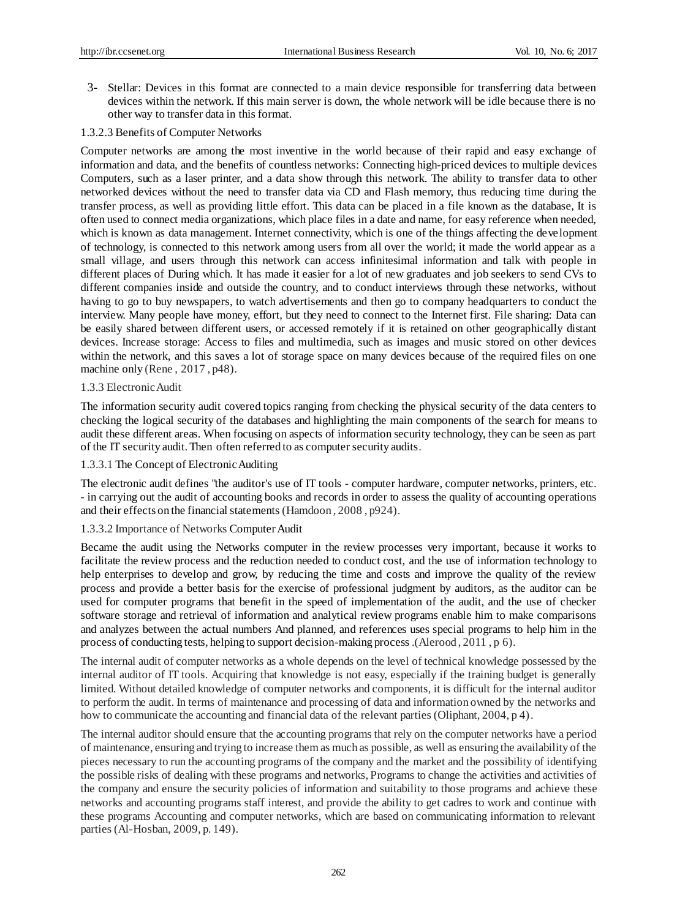3- Stellar: Devices in this format are connected to a main device responsible for transferring data between devices within the network. If this main server is down, the whole network will be idle because there is no other way to transfer data in this format.

## 1.3.2.3 Benefits of Computer Networks

Computer networks are among the most inventive in the world because of their rapid and easy exchange of information and data, and the benefits of countless networks: Connecting high-priced devices to multiple devices Computers, such as a laser printer, and a data show through this network. The ability to transfer data to other networked devices without the need to transfer data via CD and Flash memory, thus reducing time during the transfer process, as well as providing little effort. This data can be placed in a file known as the database, It is often used to connect media organizations, which place files in a date and name, for easy reference when needed, which is known as data management. Internet connectivity, which is one of the things affecting the development of technology, is connected to this network among users from all over the world; it made the world appear as a small village, and users through this network can access infinitesimal information and talk with people in different places of During which. It has made it easier for a lot of new graduates and job seekers to send CVs to different companies inside and outside the country, and to conduct interviews through these networks, without having to go to buy newspapers, to watch advertisements and then go to company headquarters to conduct the interview. Many people have money, effort, but they need to connect to the Internet first. File sharing: Data can be easily shared between different users, or accessed remotely if it is retained on other geographically distant devices. Increase storage: Access to files and multimedia, such as images and music stored on other devices within the network, and this saves a lot of storage space on many devices because of the required files on one machine only (Rene , 2017 , p48).

## 1.3.3 Electronic Audit

The information security audit covered topics ranging from checking the physical security of the data centers to checking the logical security of the databases and highlighting the main components of the search for means to audit these different areas. When focusing on aspects of information security technology, they can be seen as part of the IT security audit. Then often referred to as computer security audits.

## 1.3.3.1 The Concept of Electronic Auditing

The electronic audit defines "the auditor's use of IT tools - computer hardware, computer networks, printers, etc. - in carrying out the audit of accounting books and records in order to assess the quality of accounting operations and their effects on the financial statements (Hamdoon , 2008 , p924).

# 1.3.3.2 Importance of Networks Computer Audit

Became the audit using the Networks computer in the review processes very important, because it works to facilitate the review process and the reduction needed to conduct cost, and the use of information technology to help enterprises to develop and grow, by reducing the time and costs and improve the quality of the review process and provide a better basis for the exercise of professional judgment by auditors, as the auditor can be used for computer programs that benefit in the speed of implementation of the audit, and the use of checker software storage and retrieval of information and analytical review programs enable him to make comparisons and analyzes between the actual numbers And planned, and references uses special programs to help him in the process of conducting tests, helping to support decision-making process .(Alerood , 2011 , p 6).

The internal audit of computer networks as a whole depends on the level of technical knowledge possessed by the internal auditor of IT tools. Acquiring that knowledge is not easy, especially if the training budget is generally limited. Without detailed knowledge of computer networks and components, it is difficult for the internal auditor to perform the audit. In terms of maintenance and processing of data and information owned by the networks and how to communicate the accounting and financial data of the relevant parties (Oliphant, 2004, p 4).

The internal auditor should ensure that the accounting programs that rely on the computer networks have a period of maintenance, ensuring and trying to increase them as much as possible, as well as ensuring the availability of the pieces necessary to run the accounting programs of the company and the market and the possibility of identifying the possible risks of dealing with these programs and networks, Programs to change the activities and activities of the company and ensure the security policies of information and suitability to those programs and achieve these networks and accounting programs staff interest, and provide the ability to get cadres to work and continue with these programs Accounting and computer networks, which are based on communicating information to relevant parties (Al-Hosban, 2009, p. 149).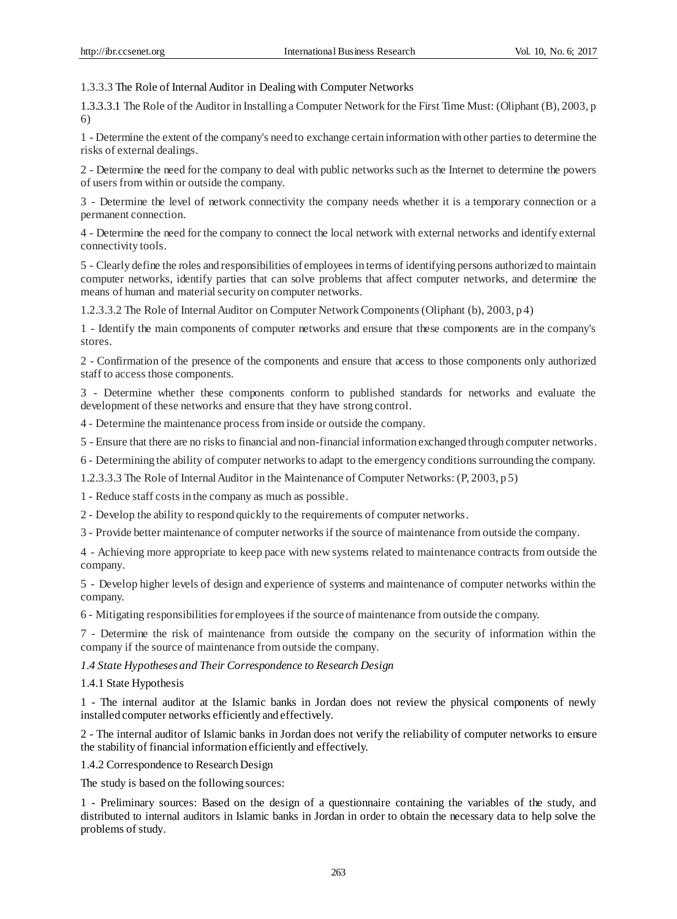1.3.3.3 The Role of Internal Auditor in Dealing with Computer Networks

1.3.3.3.1 The Role of the Auditor in Installing a Computer Network for the First Time Must: (Oliphant (B), 2003, p 6)

1 - Determine the extent of the company's need to exchange certain information with other parties to determine the risks of external dealings.

2 - Determine the need for the company to deal with public networks such as the Internet to determine the powers of users from within or outside the company.

3 - Determine the level of network connectivity the company needs whether it is a temporary connection or a permanent connection.

4 - Determine the need for the company to connect the local network with external networks and identify external connectivity tools.

5 - Clearly define the roles and responsibilities of employees in terms of identifying persons authorized to maintain computer networks, identify parties that can solve problems that affect computer networks, and determine the means of human and material security on computer networks.

1.2.3.3.2 The Role of Internal Auditor on Computer Network Components (Oliphant (b), 2003, p 4)

1 - Identify the main components of computer networks and ensure that these components are in the company's stores.

2 - Confirmation of the presence of the components and ensure that access to those components only authorized staff to access those components.

3 - Determine whether these components conform to published standards for networks and evaluate the development of these networks and ensure that they have strong control.

4 - Determine the maintenance process from inside or outside the company.

5 - Ensure that there are no risks to financial and non-financial information exchanged through computer networks.

6 - Determining the ability of computer networks to adapt to the emergency conditions surrounding the company.

1.2.3.3.3 The Role of Internal Auditor in the Maintenance of Computer Networks: (P, 2003, p 5)

1 - Reduce staff costs in the company as much as possible.

2 - Develop the ability to respond quickly to the requirements of computer networks.

3 - Provide better maintenance of computer networks if the source of maintenance from outside the company.

4 - Achieving more appropriate to keep pace with new systems related to maintenance contracts from outside the company.

5 - Develop higher levels of design and experience of systems and maintenance of computer networks within the company.

6 - Mitigating responsibilities for employees if the source of maintenance from outside the company.

7 - Determine the risk of maintenance from outside the company on the security of information within the company if the source of maintenance from outside the company.

*1.4 State Hypotheses and Their Correspondence to Research Design*

1.4.1 State Hypothesis

1 - The internal auditor at the Islamic banks in Jordan does not review the physical components of newly installed computer networks efficiently and effectively.

2 - The internal auditor of Islamic banks in Jordan does not verify the reliability of computer networks to ensure the stability of financial information efficiently and effectively.

1.4.2 Correspondence to Research Design

The study is based on the following sources:

1 - Preliminary sources: Based on the design of a questionnaire containing the variables of the study, and distributed to internal auditors in Islamic banks in Jordan in order to obtain the necessary data to help solve the problems of study.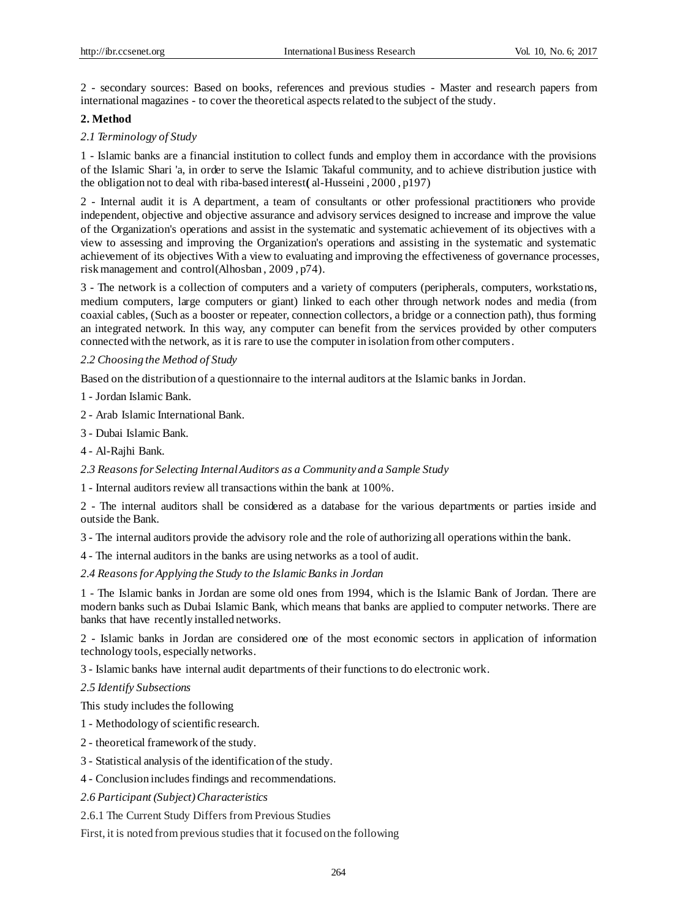2 - secondary sources: Based on books, references and previous studies - Master and research papers from international magazines - to cover the theoretical aspects related to the subject of the study.

## **2. Method**

#### *2.1 Terminology of Study*

1 - Islamic banks are a financial institution to collect funds and employ them in accordance with the provisions of the Islamic Shari 'a, in order to serve the Islamic Takaful community, and to achieve distribution justice with the obligation not to deal with riba-based interest**(** al-Husseini , 2000 , p197)

2 - Internal audit it is A department, a team of consultants or other professional practitioners who provide independent, objective and objective assurance and advisory services designed to increase and improve the value of the Organization's operations and assist in the systematic and systematic achievement of its objectives with a view to assessing and improving the Organization's operations and assisting in the systematic and systematic achievement of its objectives With a view to evaluating and improving the effectiveness of governance processes, risk management and control(Alhosban , 2009 , p74).

3 - The network is a collection of computers and a variety of computers (peripherals, computers, workstations, medium computers, large computers or giant) linked to each other through network nodes and media (from coaxial cables, (Such as a booster or repeater, connection collectors, a bridge or a connection path), thus forming an integrated network. In this way, any computer can benefit from the services provided by other computers connected with the network, as it is rare to use the computer in isolation from other computers.

## *2.2 Choosing the Method of Study*

Based on the distribution of a questionnaire to the internal auditors at the Islamic banks in Jordan.

1 - Jordan Islamic Bank.

2 - Arab Islamic International Bank.

3 - Dubai Islamic Bank.

4 - Al-Rajhi Bank.

#### *2.3 Reasons for Selecting Internal Auditors as a Community and a Sample Study*

1 - Internal auditors review all transactions within the bank at 100%.

2 - The internal auditors shall be considered as a database for the various departments or parties inside and outside the Bank.

3 - The internal auditors provide the advisory role and the role of authorizing all operations within the bank.

4 - The internal auditors in the banks are using networks as a tool of audit.

*2.4 Reasons for Applying the Study to the Islamic Banks in Jordan*

1 - The Islamic banks in Jordan are some old ones from 1994, which is the Islamic Bank of Jordan. There are modern banks such as Dubai Islamic Bank, which means that banks are applied to computer networks. There are banks that have recently installed networks.

2 - Islamic banks in Jordan are considered one of the most economic sectors in application of information technology tools, especially networks.

3 - Islamic banks have internal audit departments of their functions to do electronic work.

*2.5 Identify Subsections*

This study includes the following

1 - Methodology of scientific research.

- 2 theoretical framework of the study.
- 3 Statistical analysis of the identification of the study.
- 4 Conclusion includes findings and recommendations.

*2.6 Participant (Subject) Characteristics*

2.6.1 The Current Study Differs from Previous Studies

First, it is noted from previous studies that it focused on the following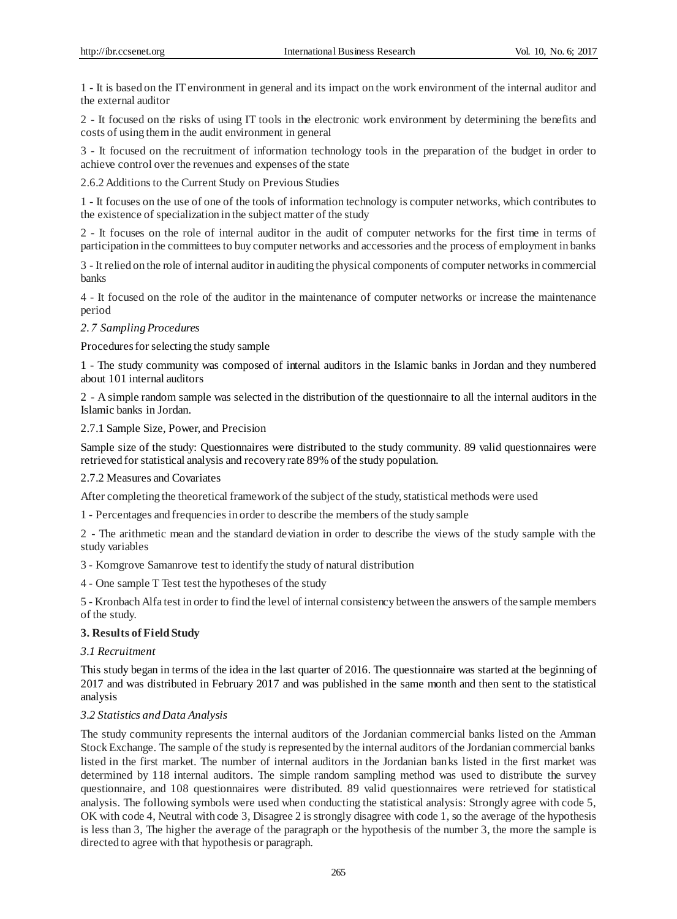1 - It is based on the IT environment in general and its impact on the work environment of the internal auditor and the external auditor

2 - It focused on the risks of using IT tools in the electronic work environment by determining the benefits and costs of using them in the audit environment in general

3 - It focused on the recruitment of information technology tools in the preparation of the budget in order to achieve control over the revenues and expenses of the state

2.6.2 Additions to the Current Study on Previous Studies

1 - It focuses on the use of one of the tools of information technology is computer networks, which contributes to the existence of specialization in the subject matter of the study

2 - It focuses on the role of internal auditor in the audit of computer networks for the first time in terms of participation in the committees to buy computer networks and accessories and the process of employment in banks

3 - It relied on the role of internal auditor in auditing the physical components of computer networks in commercial banks

4 - It focused on the role of the auditor in the maintenance of computer networks or increase the maintenance period

## *2.*<sup>7</sup> *Sampling Procedures*

Procedures for selecting the study sample

1 - The study community was composed of internal auditors in the Islamic banks in Jordan and they numbered about 101 internal auditors

2 - A simple random sample was selected in the distribution of the questionnaire to all the internal auditors in the Islamic banks in Jordan.

2.7.1 Sample Size, Power, and Precision

Sample size of the study: Questionnaires were distributed to the study community. 89 valid questionnaires were retrieved for statistical analysis and recovery rate 89% of the study population.

2.7.2 Measures and Covariates

After completing the theoretical framework of the subject of the study, statistical methods were used

1 - Percentages and frequencies in order to describe the members of the study sample

2 - The arithmetic mean and the standard deviation in order to describe the views of the study sample with the study variables

3 - Komgrove Samanrove test to identify the study of natural distribution

4 - One sample T Test test the hypotheses of the study

5 - Kronbach Alfa test in order to find the level of internal consistency between the answers of the sample members of the study.

# **3. Results ofField Study**

# *3.1 Recruitment*

This study began in terms of the idea in the last quarter of 2016. The questionnaire was started at the beginning of 2017 and was distributed in February 2017 and was published in the same month and then sent to the statistical analysis

# *3.2 Statistics and Data Analysis*

The study community represents the internal auditors of the Jordanian commercial banks listed on the Amman Stock Exchange. The sample of the study is represented by the internal auditors of the Jordanian commercial banks listed in the first market. The number of internal auditors in the Jordanian banks listed in the first market was determined by 118 internal auditors. The simple random sampling method was used to distribute the survey questionnaire, and 108 questionnaires were distributed. 89 valid questionnaires were retrieved for statistical analysis. The following symbols were used when conducting the statistical analysis: Strongly agree with code 5, OK with code 4, Neutral with code 3, Disagree 2 is strongly disagree with code 1, so the average of the hypothesis is less than 3, The higher the average of the paragraph or the hypothesis of the number 3, the more the sample is directed to agree with that hypothesis or paragraph.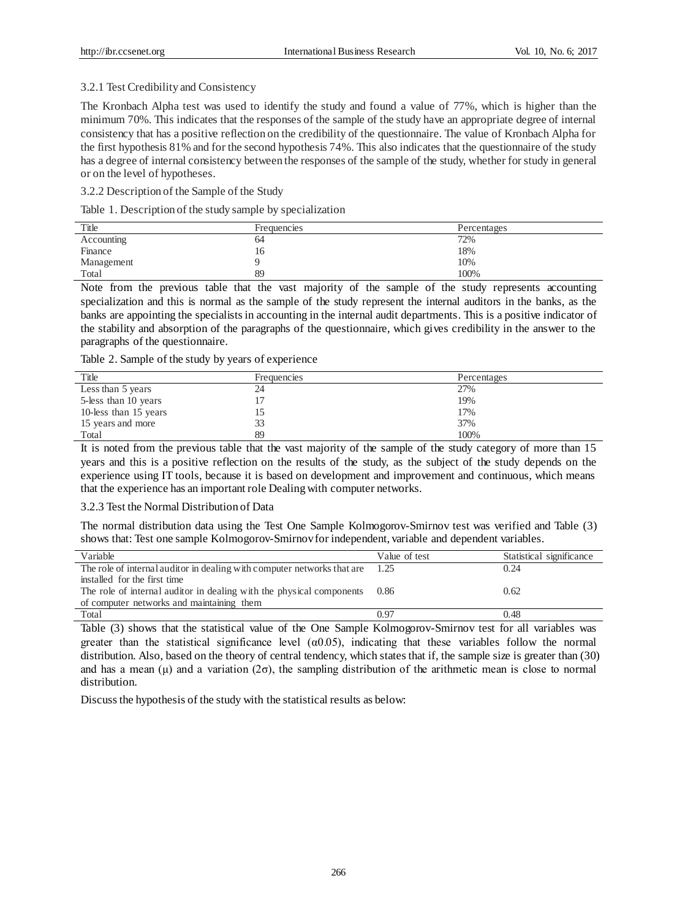# 3.2.1 Test Credibility and Consistency

The Kronbach Alpha test was used to identify the study and found a value of 77%, which is higher than the minimum 70%. This indicates that the responses of the sample of the study have an appropriate degree of internal consistency that has a positive reflection on the credibility of the questionnaire. The value of Kronbach Alpha for the first hypothesis 81% and for the second hypothesis 74%. This also indicates that the questionnaire of the study has a degree of internal consistency between the responses of the sample of the study, whether for study in general or on the level of hypotheses.

## 3.2.2 Description of the Sample of the Study

#### Table 1. Description of the study sample by specialization

| Title      | Frequencies | Percentages |
|------------|-------------|-------------|
| Accounting | 64          | 72%         |
| Finance    | 16          | 18%         |
| Management |             | 10%         |
| Total      | 89          | 100%        |

Note from the previous table that the vast majority of the sample of the study represents accounting specialization and this is normal as the sample of the study represent the internal auditors in the banks, as the banks are appointing the specialists in accounting in the internal audit departments. This is a positive indicator of the stability and absorption of the paragraphs of the questionnaire, which gives credibility in the answer to the paragraphs of the questionnaire.

| Title                 | Frequencies | Percentages |
|-----------------------|-------------|-------------|
| Less than 5 years     | 24          | 27%         |
| 5-less than 10 years  |             | 19%         |
| 10-less than 15 years |             | 17%         |
| 15 years and more     | 33          | 37%         |
| Total                 | 89          | 100%        |

It is noted from the previous table that the vast majority of the sample of the study category of more than 15 years and this is a positive reflection on the results of the study, as the subject of the study depends on the experience using IT tools, because it is based on development and improvement and continuous, which means that the experience has an important role Dealing with computer networks.

# 3.2.3 Test the Normal Distribution of Data

The normal distribution data using the Test One Sample Kolmogorov-Smirnov test was verified and Table (3) shows that: Test one sample Kolmogorov-Smirnov for independent, variable and dependent variables.

| Variable                                                                | Value of test | Statistical significance |
|-------------------------------------------------------------------------|---------------|--------------------------|
| The role of internal auditor in dealing with computer networks that are | 1.25          | 0.24                     |
| installed for the first time                                            |               |                          |
| The role of internal auditor in dealing with the physical components    | 0.86          | 0.62                     |
| of computer networks and maintaining them                               |               |                          |
| Total                                                                   | 0.97          | 0.48                     |

Table (3) shows that the statistical value of the One Sample Kolmogorov-Smirnov test for all variables was greater than the statistical significance level  $(\alpha 0.05)$ , indicating that these variables follow the normal distribution. Also, based on the theory of central tendency, which states that if, the sample size is greater than (30) and has a mean  $(\mu)$  and a variation  $(2\sigma)$ , the sampling distribution of the arithmetic mean is close to normal distribution.

Discuss the hypothesis of the study with the statistical results as below: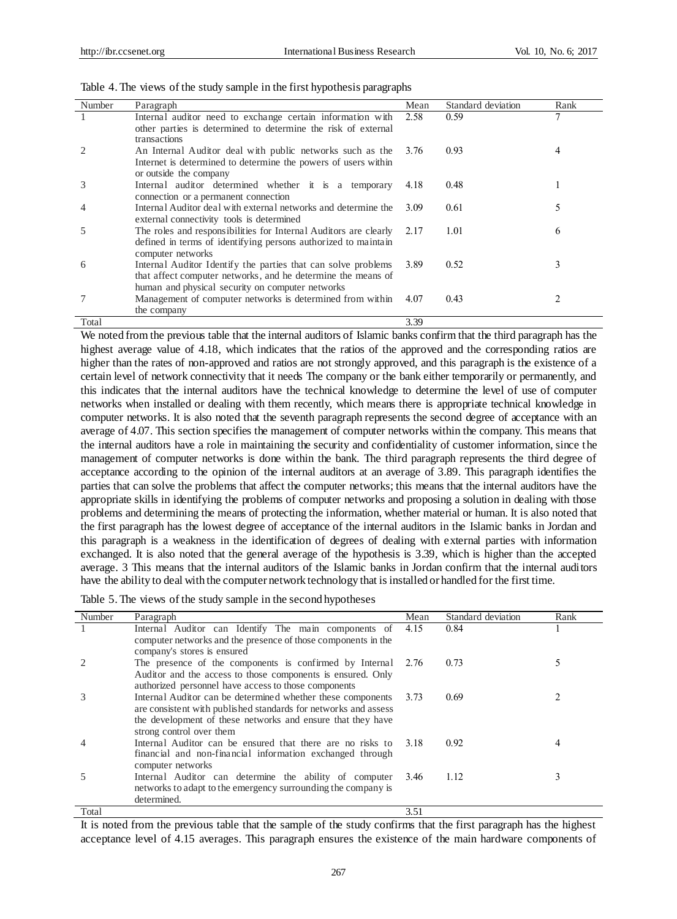| Number | Paragraph                                                                                     | Mean | Standard deviation | Rank |
|--------|-----------------------------------------------------------------------------------------------|------|--------------------|------|
|        | Internal auditor need to exchange certain information with                                    | 2.58 | 0.59               | 7    |
|        | other parties is determined to determine the risk of external                                 |      |                    |      |
|        | transactions                                                                                  |      |                    |      |
|        | An Internal Auditor deal with public networks such as the                                     | 3.76 | 0.93               | 4    |
|        | Internet is determined to determine the powers of users within                                |      |                    |      |
| 3      | or outside the company                                                                        | 4.18 | 0.48               |      |
|        | Internal auditor determined whether it is a temporary<br>connection or a permanent connection |      |                    |      |
|        | Internal Auditor deal with external networks and determine the                                | 3.09 | 0.61               | 5    |
|        | external connectivity tools is determined                                                     |      |                    |      |
| 5      | The roles and responsibilities for Internal Auditors are clearly                              | 2.17 | 1.01               | 6    |
|        | defined in terms of identifying persons authorized to maintain                                |      |                    |      |
|        | computer networks                                                                             |      |                    |      |
| 6      | Internal Auditor Identify the parties that can solve problems                                 | 3.89 | 0.52               | 3    |
|        | that affect computer networks, and he determine the means of                                  |      |                    |      |
|        | human and physical security on computer networks                                              |      |                    |      |
|        | Management of computer networks is determined from within                                     | 4.07 | 0.43               | 2    |
|        | the company                                                                                   |      |                    |      |
| Total  |                                                                                               | 3.39 |                    |      |

Table 4. The views of the study sample in the first hypothesis paragraphs

We noted from the previous table that the internal auditors of Islamic banks confirm that the third paragraph has the highest average value of 4.18, which indicates that the ratios of the approved and the corresponding ratios are higher than the rates of non-approved and ratios are not strongly approved, and this paragraph is the existence of a certain level of network connectivity that it needs The company or the bank either temporarily or permanently, and this indicates that the internal auditors have the technical knowledge to determine the level of use of computer networks when installed or dealing with them recently, which means there is appropriate technical knowledge in computer networks. It is also noted that the seventh paragraph represents the second degree of acceptance with an average of 4.07. This section specifies the management of computer networks within the company. This means that the internal auditors have a role in maintaining the security and confidentiality of customer information, since the management of computer networks is done within the bank. The third paragraph represents the third degree of acceptance according to the opinion of the internal auditors at an average of 3.89. This paragraph identifies the parties that can solve the problems that affect the computer networks; this means that the internal auditors have the appropriate skills in identifying the problems of computer networks and proposing a solution in dealing with those problems and determining the means of protecting the information, whether material or human. It is also noted that the first paragraph has the lowest degree of acceptance of the internal auditors in the Islamic banks in Jordan and this paragraph is a weakness in the identification of degrees of dealing with external parties with information exchanged. It is also noted that the general average of the hypothesis is 3.39, which is higher than the accepted average. 3 This means that the internal auditors of the Islamic banks in Jordan confirm that the internal auditors have the ability to deal with the computer network technology that is installed or handled for the first time.

Table 5. The views of the study sample in the second hypotheses

| Number | Paragraph                                                       | Mean | Standard deviation | Rank |
|--------|-----------------------------------------------------------------|------|--------------------|------|
|        | Internal Auditor can Identify The main components of            | 4.15 | 0.84               |      |
|        | computer networks and the presence of those components in the   |      |                    |      |
|        | company's stores is ensured                                     |      |                    |      |
|        | The presence of the components is confirmed by Internal $2.76$  |      | 0.73               | 5    |
|        | Auditor and the access to those components is ensured. Only     |      |                    |      |
|        | authorized personnel have access to those components            |      |                    |      |
|        | Internal Auditor can be determined whether these components     | 3.73 | 0.69               |      |
|        | are consistent with published standards for networks and assess |      |                    |      |
|        | the development of these networks and ensure that they have     |      |                    |      |
|        | strong control over them                                        |      |                    |      |
| 4      | Internal Auditor can be ensured that there are no risks to      | 3.18 | 0.92               | 4    |
|        | financial and non-financial information exchanged through       |      |                    |      |
|        | computer networks                                               |      |                    |      |
|        | Internal Auditor can determine the ability of computer          | 3.46 | 1.12               |      |
|        | networks to adapt to the emergency surrounding the company is   |      |                    |      |
|        | determined.                                                     |      |                    |      |
| Total  |                                                                 | 3.51 |                    |      |

It is noted from the previous table that the sample of the study confirms that the first paragraph has the highest acceptance level of 4.15 averages. This paragraph ensures the existence of the main hardware components of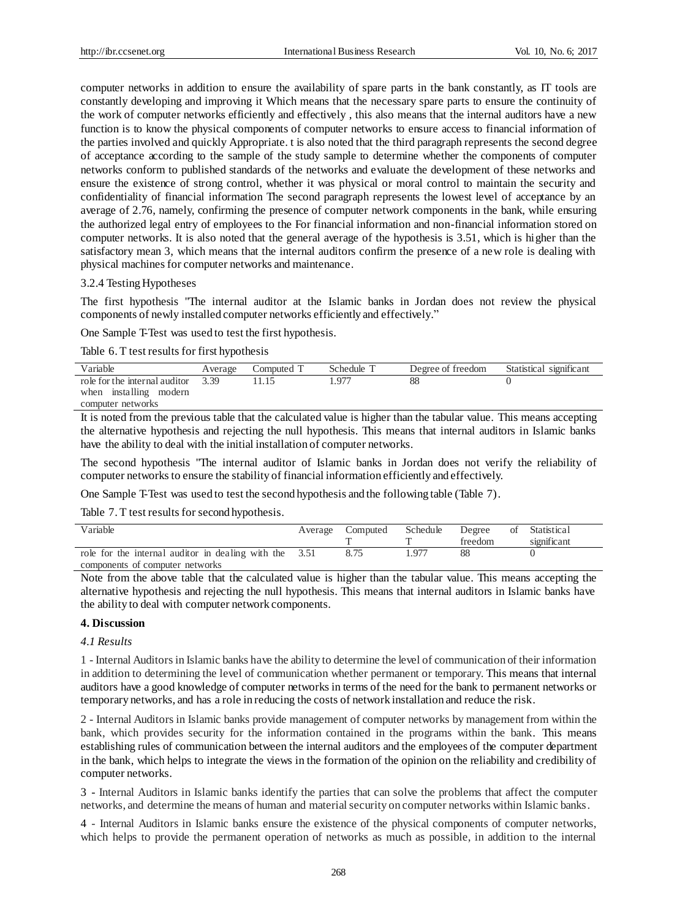computer networks in addition to ensure the availability of spare parts in the bank constantly, as IT tools are constantly developing and improving it Which means that the necessary spare parts to ensure the continuity of the work of computer networks efficiently and effectively , this also means that the internal auditors have a new function is to know the physical components of computer networks to ensure access to financial information of the parties involved and quickly Appropriate. t is also noted that the third paragraph represents the second degree of acceptance according to the sample of the study sample to determine whether the components of computer networks conform to published standards of the networks and evaluate the development of these networks and ensure the existence of strong control, whether it was physical or moral control to maintain the security and confidentiality of financial information The second paragraph represents the lowest level of acceptance by an average of 2.76, namely, confirming the presence of computer network components in the bank, while ensuring the authorized legal entry of employees to the For financial information and non-financial information stored on computer networks. It is also noted that the general average of the hypothesis is 3.51, which is higher than the satisfactory mean 3, which means that the internal auditors confirm the presence of a new role is dealing with physical machines for computer networks and maintenance.

#### 3.2.4 Testing Hypotheses

The first hypothesis "The internal auditor at the Islamic banks in Jordan does not review the physical components of newly installed computer networks efficiently and effectively."

One Sample T-Test was used to test the first hypothesis.

Table 6. T test results for first hypothesis

| Variable                                                     | Average | Computed T | Schedule T | Degree of freedom | Statistical significant |
|--------------------------------------------------------------|---------|------------|------------|-------------------|-------------------------|
| role for the internal auditor 3.39<br>when installing modern |         |            | -977       | 88                |                         |
| computer networks                                            |         |            |            |                   |                         |

It is noted from the previous table that the calculated value is higher than the tabular value. This means accepting the alternative hypothesis and rejecting the null hypothesis. This means that internal auditors in Islamic banks have the ability to deal with the initial installation of computer networks.

The second hypothesis "The internal auditor of Islamic banks in Jordan does not verify the reliability of computer networks to ensure the stability of financial information efficiently and effectively.

One Sample T-Test was used to test the second hypothesis and the following table (Table 7).

Table 7. T test results for second hypothesis.

| Variable                                               | Average Computed | Schedule | Degree<br>freedom | of Statistical<br>significant |
|--------------------------------------------------------|------------------|----------|-------------------|-------------------------------|
| role for the internal auditor in dealing with the 3.51 | 8.75             | -977     |                   |                               |
| components of computer networks                        |                  |          |                   |                               |

Note from the above table that the calculated value is higher than the tabular value. This means accepting the alternative hypothesis and rejecting the null hypothesis. This means that internal auditors in Islamic banks have the ability to deal with computer network components.

#### **4. Discussion**

#### *4.1 Results*

1 - Internal Auditors in Islamic banks have the ability to determine the level of communication of their information in addition to determining the level of communication whether permanent or temporary. This means that internal auditors have a good knowledge of computer networks in terms of the need for the bank to permanent networks or temporary networks, and has a role in reducing the costs of network installation and reduce the risk.

2 - Internal Auditors in Islamic banks provide management of computer networks by management from within the bank, which provides security for the information contained in the programs within the bank. This means establishing rules of communication between the internal auditors and the employees of the computer department in the bank, which helps to integrate the views in the formation of the opinion on the reliability and credibility of computer networks.

3 - Internal Auditors in Islamic banks identify the parties that can solve the problems that affect the computer networks, and determine the means of human and material security on computer networks within Islamic banks.

4 - Internal Auditors in Islamic banks ensure the existence of the physical components of computer networks, which helps to provide the permanent operation of networks as much as possible, in addition to the internal